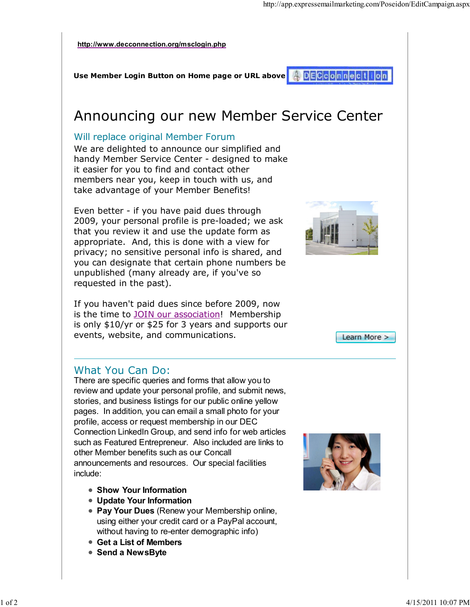